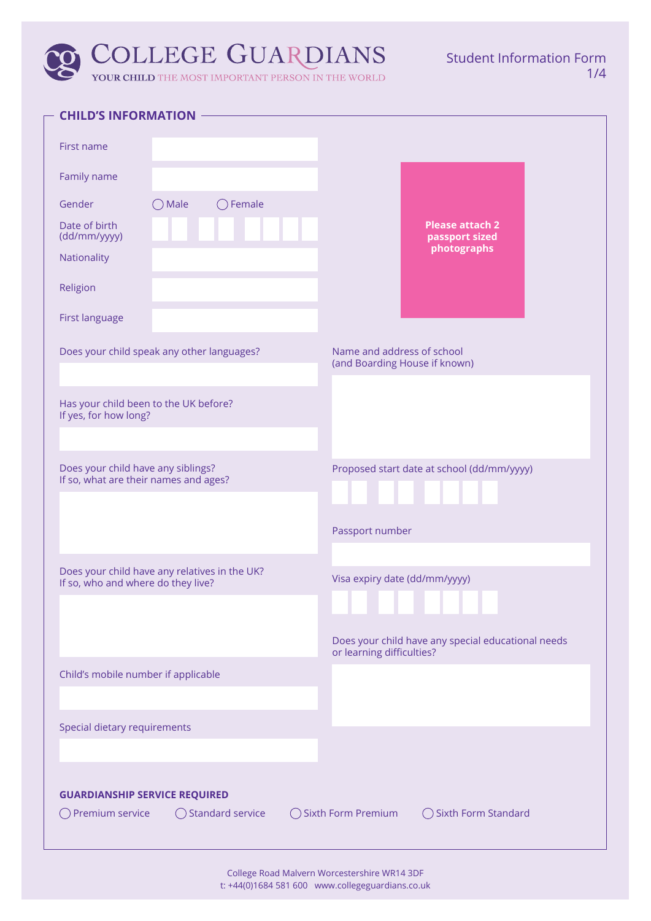| <b>CHILD'S INFORMATION</b>                                                    |                                                    |
|-------------------------------------------------------------------------------|----------------------------------------------------|
| First name                                                                    |                                                    |
|                                                                               |                                                    |
| Family name                                                                   |                                                    |
| $\bigcirc$ Female<br>Gender<br>Male                                           |                                                    |
| Date of birth<br>(dd/mm/yyyy)                                                 | <b>Please attach 2</b><br>passport sized           |
| Nationality                                                                   | photographs                                        |
| Religion                                                                      |                                                    |
|                                                                               |                                                    |
| First language                                                                |                                                    |
| Does your child speak any other languages?                                    | Name and address of school                         |
|                                                                               | (and Boarding House if known)                      |
| Has your child been to the UK before?                                         |                                                    |
| If yes, for how long?                                                         |                                                    |
|                                                                               |                                                    |
| Does your child have any siblings?<br>If so, what are their names and ages?   | Proposed start date at school (dd/mm/yyyy)         |
|                                                                               |                                                    |
|                                                                               |                                                    |
|                                                                               | Passport number                                    |
| Does your child have any relatives in the UK?                                 |                                                    |
| If so, who and where do they live?                                            | Visa expiry date (dd/mm/yyyy)                      |
|                                                                               |                                                    |
|                                                                               | Does your child have any special educational needs |
|                                                                               | or learning difficulties?                          |
| Child's mobile number if applicable                                           |                                                    |
|                                                                               |                                                    |
| Special dietary requirements                                                  |                                                    |
|                                                                               |                                                    |
|                                                                               |                                                    |
| <b>GUARDIANSHIP SERVICE REQUIRED</b><br>◯ Standard service<br>Premium service | ◯ Sixth Form Premium<br>◯ Sixth Form Standard      |
|                                                                               |                                                    |
|                                                                               |                                                    |

College Road Malvern Worcestershire WR14 3DF t: +44(0)1684 581 600 www.collegeguardians.co.uk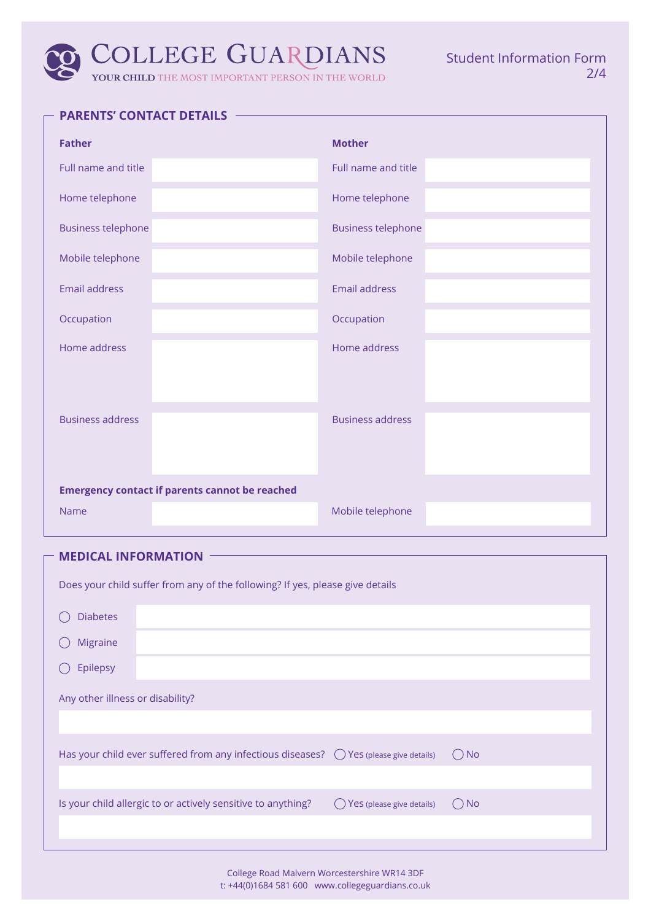| <b>Father</b>             |                                                       | <b>Mother</b>             |
|---------------------------|-------------------------------------------------------|---------------------------|
| Full name and title       |                                                       | Full name and title       |
| Home telephone            |                                                       | Home telephone            |
| <b>Business telephone</b> |                                                       | <b>Business telephone</b> |
| Mobile telephone          |                                                       | Mobile telephone          |
| <b>Email address</b>      |                                                       | <b>Email address</b>      |
| Occupation                |                                                       | Occupation                |
| Home address              |                                                       | Home address              |
| <b>Business address</b>   |                                                       | <b>Business address</b>   |
|                           | <b>Emergency contact if parents cannot be reached</b> |                           |
| <b>Name</b>               |                                                       | Mobile telephone          |

# **MEDICAL INFORMATION**

| Does your child suffer from any of the following? If yes, please give details |                                                                                                 |                           |               |
|-------------------------------------------------------------------------------|-------------------------------------------------------------------------------------------------|---------------------------|---------------|
| <b>Diabetes</b>                                                               |                                                                                                 |                           |               |
| Migraine                                                                      |                                                                                                 |                           |               |
| Epilepsy                                                                      |                                                                                                 |                           |               |
| Any other illness or disability?                                              |                                                                                                 |                           |               |
|                                                                               |                                                                                                 |                           |               |
|                                                                               | Has your child ever suffered from any infectious diseases? $\bigcirc$ Yes (please give details) |                           | $\bigcirc$ No |
|                                                                               |                                                                                                 |                           |               |
|                                                                               | Is your child allergic to or actively sensitive to anything?                                    | Yes (please give details) | ( ) No        |
|                                                                               |                                                                                                 |                           |               |

College Road Malvern Worcestershire WR14 3DF t: +44(0)1684 581 600 www.collegeguardians.co.uk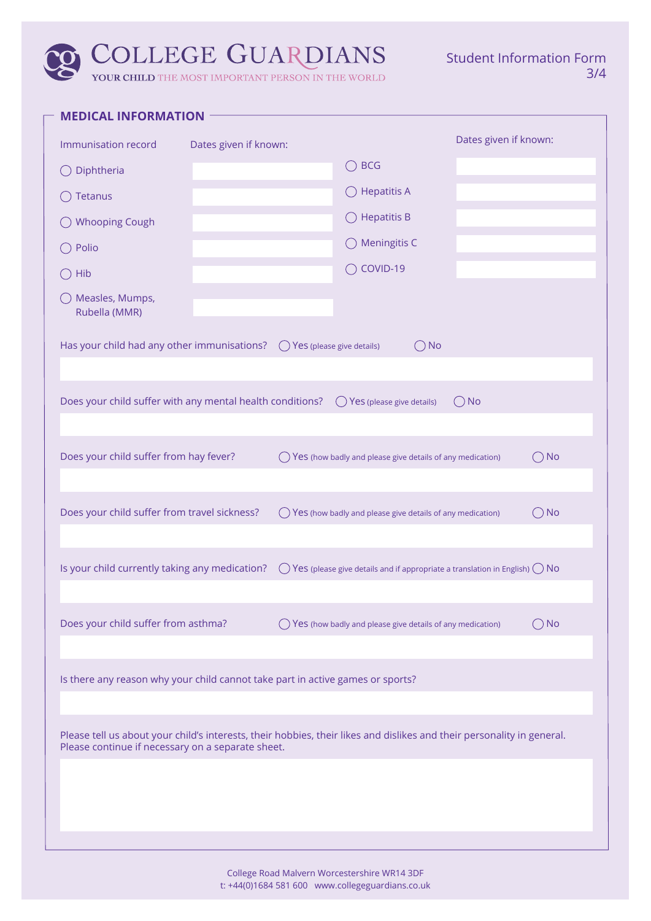Student Information Form 3/4

| <b>MEDICAL INFORMATION</b>                                                                                                                                                  |                       |       |                                                                                     |               |                       |               |
|-----------------------------------------------------------------------------------------------------------------------------------------------------------------------------|-----------------------|-------|-------------------------------------------------------------------------------------|---------------|-----------------------|---------------|
| Immunisation record                                                                                                                                                         | Dates given if known: |       |                                                                                     |               | Dates given if known: |               |
| Diphtheria                                                                                                                                                                  |                       |       | $\bigcirc$ BCG                                                                      |               |                       |               |
| Tetanus                                                                                                                                                                     |                       |       | $\bigcirc$ Hepatitis A                                                              |               |                       |               |
| <b>Whooping Cough</b>                                                                                                                                                       |                       |       | $\bigcirc$ Hepatitis B                                                              |               |                       |               |
| Polio                                                                                                                                                                       |                       |       | $\bigcirc$ Meningitis C                                                             |               |                       |               |
| Hib                                                                                                                                                                         |                       |       | COVID-19<br>$($ )                                                                   |               |                       |               |
| ◯ Measles, Mumps,<br>Rubella (MMR)                                                                                                                                          |                       |       |                                                                                     |               |                       |               |
| Has your child had any other immunisations? $\bigcirc$                                                                                                                      |                       |       | Yes (please give details)                                                           | $\bigcirc$ No |                       |               |
| Does your child suffer with any mental health conditions? $\bigcirc$ Yes (please give details)                                                                              |                       |       |                                                                                     |               | $\bigcirc$ No         |               |
| Does your child suffer from hay fever?                                                                                                                                      |                       |       | Yes (how badly and please give details of any medication)                           |               |                       | $\bigcirc$ No |
| Does your child suffer from travel sickness?                                                                                                                                |                       | $($ ) | Yes (how badly and please give details of any medication)                           |               |                       | $\bigcirc$ No |
| Is your child currently taking any medication?                                                                                                                              |                       | $($ ) | Yes (please give details and if appropriate a translation in English) $\bigcirc$ No |               |                       |               |
| Does your child suffer from asthma?                                                                                                                                         |                       | $($ ) | Yes (how badly and please give details of any medication)                           |               |                       | $\bigcirc$ No |
| Is there any reason why your child cannot take part in active games or sports?                                                                                              |                       |       |                                                                                     |               |                       |               |
| Please tell us about your child's interests, their hobbies, their likes and dislikes and their personality in general.<br>Please continue if necessary on a separate sheet. |                       |       |                                                                                     |               |                       |               |
|                                                                                                                                                                             |                       |       |                                                                                     |               |                       |               |
|                                                                                                                                                                             |                       |       |                                                                                     |               |                       |               |
|                                                                                                                                                                             |                       |       | Malyarn Warcastorshire WD1                                                          |               |                       |               |